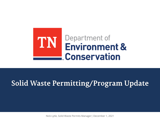

# **Solid Waste Permitting/Program Update**

Nick Lytle, Solid Waste Permits Manager| December 1, 2021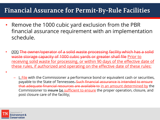#### **Financial Assurance for Permit-By-Rule Facilities**

- Remove the 1000 cubic yard exclusion from the PBR financial assurance requirement with an implementation schedule.
- (XX) The owner/operator of a solid waste processing facility which has a solid waste storage capacity of 1000 cubic yards or greater shall file Prior to receiving solid waste for processing, or within 90 days of the effective date of these rules, if authorized and operating on the effective date of these rules:
	- I. File with the Commissioner a performance bond or equivalent cash or securities, payable to the State of Tennessee. Such financial assurance is intended to ensure that adequate financial resources are available to in an amount determined by the Commissioner to insure be sufficient to ensure the proper operation, closure, and post closure care of the facility;



•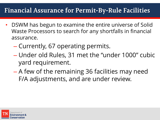#### **Financial Assurance for Permit-By-Rule Facilities**

- DSWM has begun to examine the entire universe of Solid Waste Processors to search for any shortfalls in financial assurance.
	- Currently, 67 operating permits.
	- Under old Rules, 31 met the "under 1000" cubic yard requirement.
	- A few of the remaining 36 facilities may need F/A adjustments, and are under review.

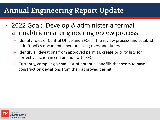## **Annual Engineering Report Update**

- 2022 Goal: Develop & administer a formal annual/triennial engineering review process.
	- Identify roles of Central Office and EFOs in the review process and establish a draft policy documents memorializing roles and duties.
	- Identify all deviations from approved permits, create priority lists for corrective action in conjunction with EFOs.
	- Currently, compiling a small list of potential landfills that seem to have construction deviations from their approved permit.

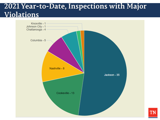#### 2021 Year-to-Date, Inspections with Major Violations

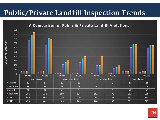## **Public/Private Landfill Inspection Trends**



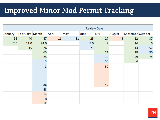## **Improved Minor Mod Permit Tracking**

|     |      | <b>Review Days</b>           |    |     |      |      |        |                  |    |
|-----|------|------------------------------|----|-----|------|------|--------|------------------|----|
|     |      | January February March April |    | May | June | July | August | Septembe October |    |
| 35  | 40   | 47                           | 11 | 31  | 25   | 27   | 43     | 12               | 37 |
| 7.0 | 11.0 | 24.0                         |    |     | 7.0  | 7    |        | 14               | 6  |
|     | 15   | 26                           |    |     | 71   | 3    |        | 13               | 57 |
|     |      | 65                           |    |     |      | 21   |        | 18               | 30 |
|     |      | 25                           |    |     |      | 13   |        | 59               | 74 |
|     |      | 3                            |    |     |      | 33   |        | $\overline{4}$   |    |
|     |      | 3                            |    |     |      | 59   |        |                  |    |
|     |      |                              |    |     |      |      |        |                  |    |
|     |      |                              |    |     |      |      |        |                  |    |
|     |      |                              |    |     |      |      |        |                  |    |
|     |      | 86                           |    |     |      | 42   |        |                  |    |
|     |      | 48                           |    |     |      |      |        |                  |    |
|     |      | 14                           |    |     |      |      |        |                  |    |
|     |      | $\boldsymbol{8}$             |    |     |      |      |        |                  |    |
|     |      | 18                           |    |     |      |      |        |                  |    |

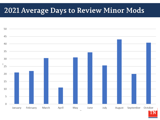### **2021 Average Days to Review Minor Mods**

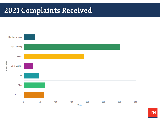### **2021 Complaints Received**